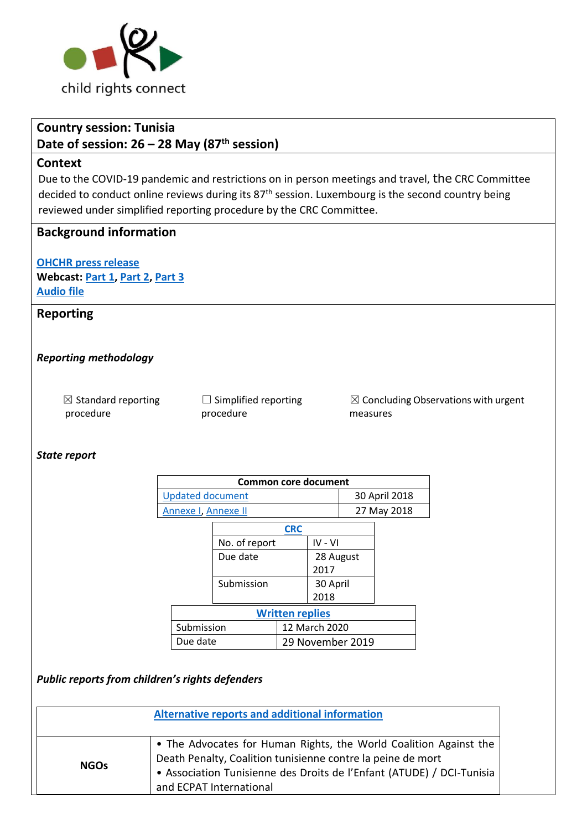

# **Country session: Tunisia**

**Date of session: 26 – 28 May (87th session)**

#### **Context**

Due to the COVID-19 pandemic and restrictions on in person meetings and travel, [the](https://tbinternet.ohchr.org/_layouts/15/treatybodyexternal/Download.aspx?symbolno=INT/CHAIRPERSONS/MCO/32/31684&Lang=en) CRC Committee decided to conduct online reviews during its 87<sup>th</sup> session. Luxembourg is the second country being reviewed under simplified reporting procedure by the CRC Committee.

# **Background information**

**[OHCHR press release](https://www.ohchr.org/EN/NewsEvents/Pages/DisplayNews.aspx?NewsID=27127&LangID=E) Webcast: [Part 1,](http://webtv.un.org/meetings-events/human-rights-treaty-bodies/watch/consideration-of-tunisia-2519th-meeting-87th-session-committee-on-the-rights-of-the-child/6256140212001) [Part 2,](http://webtv.un.org/meetings-events/human-rights-treaty-bodies/watch/consideration-of-tunisia-contd-2521st-meeting-87th-session-committee-on-the-rights-of-the-child/6256299852001) [Part 3](http://webtv.un.org/meetings-events/human-rights-treaty-bodies/watch/consideration-of-tunisia-contd-part-2-2523rd-meeting-87th-session-committee-on-the-rights-of-the-child/6256435749001) [Audio file](https://conf.unog.ch/digitalrecordings/)**

# **Reporting**

#### *Reporting methodology*

| $\boxtimes$ Standard reporting |  |
|--------------------------------|--|
| procedure                      |  |

 $\Box$  Simplified reporting procedure

 $\boxtimes$  Concluding Observations with urgent measures

#### *State report*

| Common core document    |               |
|-------------------------|---------------|
| <b>Updated document</b> | 30 April 2018 |
| Annexe I, Annexe II     | 27 May 2018   |
|                         |               |

| <b>CRC</b>               |  |
|--------------------------|--|
| No. of report<br>IV - VI |  |
| 28 August                |  |
| 2017                     |  |
| 30 April                 |  |
| 2018                     |  |
| <b>Written replies</b>   |  |
| 12 March 2020            |  |
| 29 November 2019         |  |
|                          |  |

*Public reports from children's rights defenders*

|             | Alternative reports and additional information                                                                                                                                                                                       |
|-------------|--------------------------------------------------------------------------------------------------------------------------------------------------------------------------------------------------------------------------------------|
| <b>NGOs</b> | • The Advocates for Human Rights, the World Coalition Against the<br>Death Penalty, Coalition tunisienne contre la peine de mort<br>• Association Tunisienne des Droits de l'Enfant (ATUDE) / DCI-Tunisia<br>and ECPAT International |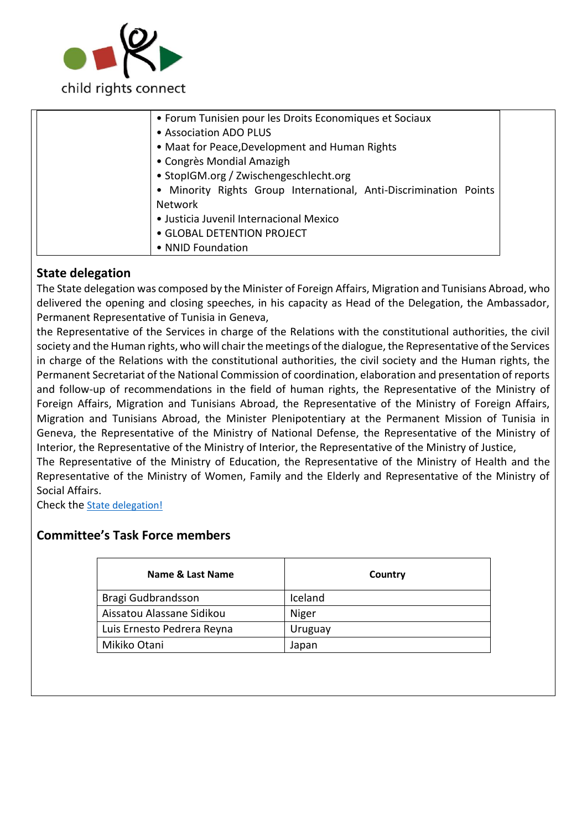

| • NNID Foundation |
|-------------------|
|-------------------|

# **State delegation**

The State delegation was composed by the Minister of Foreign Affairs, Migration and Tunisians Abroad, who delivered the opening and closing speeches, in his capacity as Head of the Delegation, the Ambassador, Permanent Representative of Tunisia in Geneva,

the Representative of the Services in charge of the Relations with the constitutional authorities, the civil society and the Human rights, who will chair the meetings of the dialogue, the Representative of the Services in charge of the Relations with the constitutional authorities, the civil society and the Human rights, the Permanent Secretariat of the National Commission of coordination, elaboration and presentation of reports and follow-up of recommendations in the field of human rights, the Representative of the Ministry of Foreign Affairs, Migration and Tunisians Abroad, the Representative of the Ministry of Foreign Affairs, Migration and Tunisians Abroad, the Minister Plenipotentiary at the Permanent Mission of Tunisia in Geneva, the Representative of the Ministry of National Defense, the Representative of the Ministry of Interior, the Representative of the Ministry of Interior, the Representative of the Ministry of Justice,

The Representative of the Ministry of Education, the Representative of the Ministry of Health and the Representative of the Ministry of Women, Family and the Elderly and Representative of the Ministry of Social Affairs.

Check the [State delegation!](https://tbinternet.ohchr.org/_layouts/15/treatybodyexternal/Download.aspx?symbolno=INT%2fCRC%2fLOP%2fTUN%2f44955&Lang=en)

# **Committee's Task Force members**

| Country |
|---------|
| Iceland |
| Niger   |
| Uruguay |
| Japan   |
|         |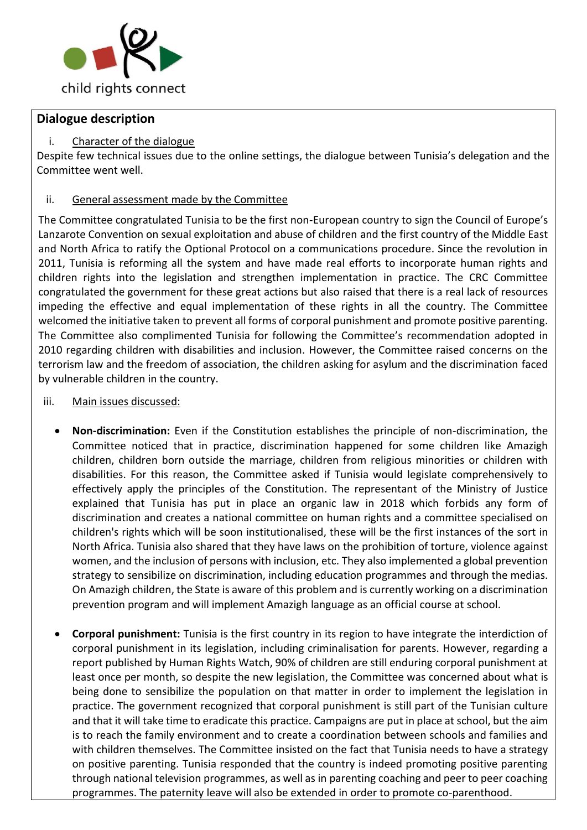

# **Dialogue description**

#### i. Character of the dialogue

Despite few technical issues due to the online settings, the dialogue between Tunisia's delegation and the Committee went well.

#### ii. General assessment made by the Committee

The Committee congratulated Tunisia to be the first non-European country to sign the Council of Europe's Lanzarote Convention on sexual exploitation and abuse of children and the first country of the Middle East and North Africa to ratify the Optional Protocol on a communications procedure. Since the revolution in 2011, Tunisia is reforming all the system and have made real efforts to incorporate human rights and children rights into the legislation and strengthen implementation in practice. The CRC Committee congratulated the government for these great actions but also raised that there is a real lack of resources impeding the effective and equal implementation of these rights in all the country. The Committee welcomed the initiative taken to prevent all forms of corporal punishment and promote positive parenting. The Committee also complimented Tunisia for following the Committee's recommendation adopted in 2010 regarding children with disabilities and inclusion. However, the Committee raised concerns on the terrorism law and the freedom of association, the children asking for asylum and the discrimination faced by vulnerable children in the country.

#### iii. Main issues discussed:

- **Non-discrimination:** Even if the Constitution establishes the principle of non-discrimination, the Committee noticed that in practice, discrimination happened for some children like Amazigh children, children born outside the marriage, children from religious minorities or children with disabilities. For this reason, the Committee asked if Tunisia would legislate comprehensively to effectively apply the principles of the Constitution. The representant of the Ministry of Justice explained that Tunisia has put in place an organic law in 2018 which forbids any form of discrimination and creates a national committee on human rights and a committee specialised on children's rights which will be soon institutionalised, these will be the first instances of the sort in North Africa. Tunisia also shared that they have laws on the prohibition of torture, violence against women, and the inclusion of persons with inclusion, etc. They also implemented a global prevention strategy to sensibilize on discrimination, including education programmes and through the medias. On Amazigh children, the State is aware of this problem and is currently working on a discrimination prevention program and will implement Amazigh language as an official course at school.
- **Corporal punishment:** Tunisia is the first country in its region to have integrate the interdiction of corporal punishment in its legislation, including criminalisation for parents. However, regarding a report published by Human Rights Watch, 90% of children are still enduring corporal punishment at least once per month, so despite the new legislation, the Committee was concerned about what is being done to sensibilize the population on that matter in order to implement the legislation in practice. The government recognized that corporal punishment is still part of the Tunisian culture and that it will take time to eradicate this practice. Campaigns are put in place at school, but the aim is to reach the family environment and to create a coordination between schools and families and with children themselves. The Committee insisted on the fact that Tunisia needs to have a strategy on positive parenting. Tunisia responded that the country is indeed promoting positive parenting through national television programmes, as well as in parenting coaching and peer to peer coaching programmes. The paternity leave will also be extended in order to promote co-parenthood.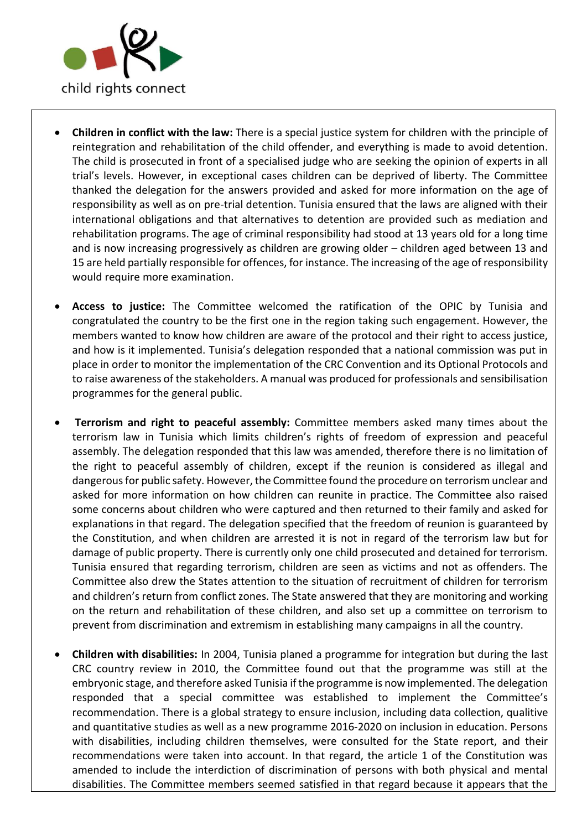

- **Children in conflict with the law:** There is a special justice system for children with the principle of reintegration and rehabilitation of the child offender, and everything is made to avoid detention. The child is prosecuted in front of a specialised judge who are seeking the opinion of experts in all trial's levels. However, in exceptional cases children can be deprived of liberty. The Committee thanked the delegation for the answers provided and asked for more information on the age of responsibility as well as on pre-trial detention. Tunisia ensured that the laws are aligned with their international obligations and that alternatives to detention are provided such as mediation and rehabilitation programs. The age of criminal responsibility had stood at 13 years old for a long time and is now increasing progressively as children are growing older – children aged between 13 and 15 are held partially responsible for offences, for instance. The increasing of the age of responsibility would require more examination.
- **Access to justice:** The Committee welcomed the ratification of the OPIC by Tunisia and congratulated the country to be the first one in the region taking such engagement. However, the members wanted to know how children are aware of the protocol and their right to access justice, and how is it implemented. Tunisia's delegation responded that a national commission was put in place in order to monitor the implementation of the CRC Convention and its Optional Protocols and to raise awareness of the stakeholders. A manual was produced for professionals and sensibilisation programmes for the general public.
- **Terrorism and right to peaceful assembly:** Committee members asked many times about the terrorism law in Tunisia which limits children's rights of freedom of expression and peaceful assembly. The delegation responded that this law was amended, therefore there is no limitation of the right to peaceful assembly of children, except if the reunion is considered as illegal and dangerous for public safety. However, the Committee found the procedure on terrorism unclear and asked for more information on how children can reunite in practice. The Committee also raised some concerns about children who were captured and then returned to their family and asked for explanations in that regard. The delegation specified that the freedom of reunion is guaranteed by the Constitution, and when children are arrested it is not in regard of the terrorism law but for damage of public property. There is currently only one child prosecuted and detained for terrorism. Tunisia ensured that regarding terrorism, children are seen as victims and not as offenders. The Committee also drew the States attention to the situation of recruitment of children for terrorism and children's return from conflict zones. The State answered that they are monitoring and working on the return and rehabilitation of these children, and also set up a committee on terrorism to prevent from discrimination and extremism in establishing many campaigns in all the country.
- **Children with disabilities:** In 2004, Tunisia planed a programme for integration but during the last CRC country review in 2010, the Committee found out that the programme was still at the embryonic stage, and therefore asked Tunisia if the programme is now implemented. The delegation responded that a special committee was established to implement the Committee's recommendation. There is a global strategy to ensure inclusion, including data collection, qualitive and quantitative studies as well as a new programme 2016-2020 on inclusion in education. Persons with disabilities, including children themselves, were consulted for the State report, and their recommendations were taken into account. In that regard, the article 1 of the Constitution was amended to include the interdiction of discrimination of persons with both physical and mental disabilities. The Committee members seemed satisfied in that regard because it appears that the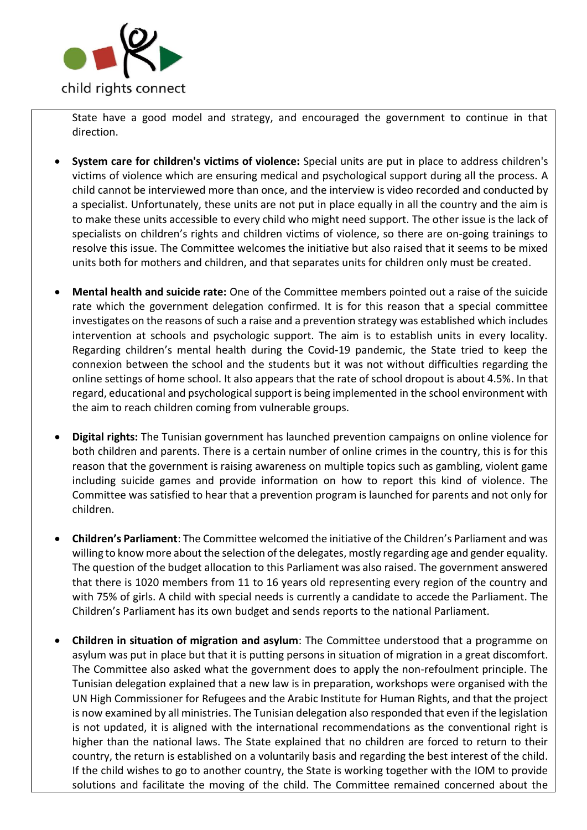

State have a good model and strategy, and encouraged the government to continue in that direction.

- **System care for children's victims of violence:** Special units are put in place to address children's victims of violence which are ensuring medical and psychological support during all the process. A child cannot be interviewed more than once, and the interview is video recorded and conducted by a specialist. Unfortunately, these units are not put in place equally in all the country and the aim is to make these units accessible to every child who might need support. The other issue is the lack of specialists on children's rights and children victims of violence, so there are on-going trainings to resolve this issue. The Committee welcomes the initiative but also raised that it seems to be mixed units both for mothers and children, and that separates units for children only must be created.
- **Mental health and suicide rate:** One of the Committee members pointed out a raise of the suicide rate which the government delegation confirmed. It is for this reason that a special committee investigates on the reasons of such a raise and a prevention strategy was established which includes intervention at schools and psychologic support. The aim is to establish units in every locality. Regarding children's mental health during the Covid-19 pandemic, the State tried to keep the connexion between the school and the students but it was not without difficulties regarding the online settings of home school. It also appears that the rate of school dropout is about 4.5%. In that regard, educational and psychological support is being implemented in the school environment with the aim to reach children coming from vulnerable groups.
- **Digital rights:** The Tunisian government has launched prevention campaigns on online violence for both children and parents. There is a certain number of online crimes in the country, this is for this reason that the government is raising awareness on multiple topics such as gambling, violent game including suicide games and provide information on how to report this kind of violence. The Committee was satisfied to hear that a prevention program is launched for parents and not only for children.
- **Children's Parliament**: The Committee welcomed the initiative of the Children's Parliament and was willing to know more about the selection of the delegates, mostly regarding age and gender equality. The question of the budget allocation to this Parliament was also raised. The government answered that there is 1020 members from 11 to 16 years old representing every region of the country and with 75% of girls. A child with special needs is currently a candidate to accede the Parliament. The Children's Parliament has its own budget and sends reports to the national Parliament.
- **Children in situation of migration and asylum**: The Committee understood that a programme on asylum was put in place but that it is putting persons in situation of migration in a great discomfort. The Committee also asked what the government does to apply the non-refoulment principle. The Tunisian delegation explained that a new law is in preparation, workshops were organised with the UN High Commissioner for Refugees and the Arabic Institute for Human Rights, and that the project is now examined by all ministries. The Tunisian delegation also responded that even if the legislation is not updated, it is aligned with the international recommendations as the conventional right is higher than the national laws. The State explained that no children are forced to return to their country, the return is established on a voluntarily basis and regarding the best interest of the child. If the child wishes to go to another country, the State is working together with the IOM to provide solutions and facilitate the moving of the child. The Committee remained concerned about the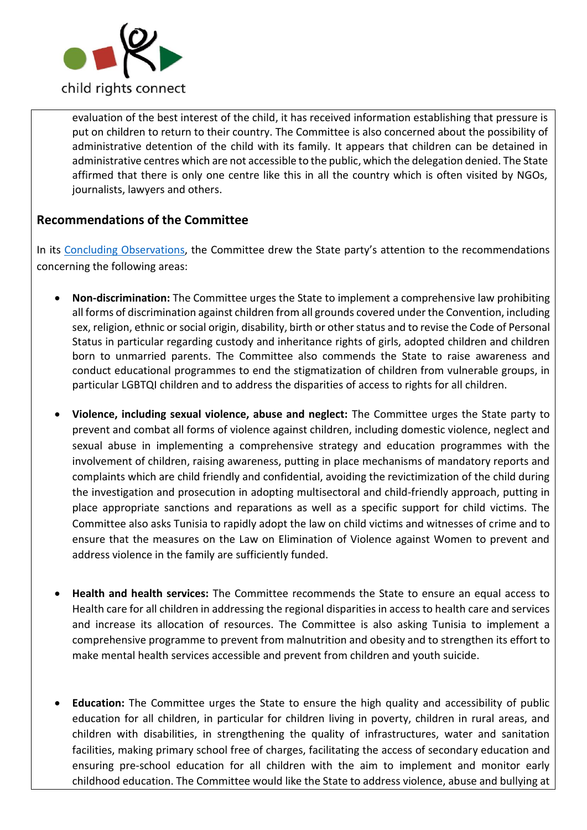

evaluation of the best interest of the child, it has received information establishing that pressure is put on children to return to their country. The Committee is also concerned about the possibility of administrative detention of the child with its family. It appears that children can be detained in administrative centres which are not accessible to the public, which the delegation denied. The State affirmed that there is only one centre like this in all the country which is often visited by NGOs, journalists, lawyers and others.

# **Recommendations of the Committee**

In its [Concluding Observations,](https://tbinternet.ohchr.org/_layouts/15/treatybodyexternal/Download.aspx?symbolno=CRC%2fC%2fTUN%2fCO%2f4-6&Lang=en) the Committee drew the State party's attention to the recommendations concerning the following areas:

- **Non-discrimination:** The Committee urges the State to implement a comprehensive law prohibiting all forms of discrimination against children from all grounds covered under the Convention, including sex, religion, ethnic or social origin, disability, birth or other status and to revise the Code of Personal Status in particular regarding custody and inheritance rights of girls, adopted children and children born to unmarried parents. The Committee also commends the State to raise awareness and conduct educational programmes to end the stigmatization of children from vulnerable groups, in particular LGBTQI children and to address the disparities of access to rights for all children.
- **Violence, including sexual violence, abuse and neglect:** The Committee urges the State party to prevent and combat all forms of violence against children, including domestic violence, neglect and sexual abuse in implementing a comprehensive strategy and education programmes with the involvement of children, raising awareness, putting in place mechanisms of mandatory reports and complaints which are child friendly and confidential, avoiding the revictimization of the child during the investigation and prosecution in adopting multisectoral and child-friendly approach, putting in place appropriate sanctions and reparations as well as a specific support for child victims. The Committee also asks Tunisia to rapidly adopt the law on child victims and witnesses of crime and to ensure that the measures on the Law on Elimination of Violence against Women to prevent and address violence in the family are sufficiently funded.
- **Health and health services:** The Committee recommends the State to ensure an equal access to Health care for all children in addressing the regional disparities in access to health care and services and increase its allocation of resources. The Committee is also asking Tunisia to implement a comprehensive programme to prevent from malnutrition and obesity and to strengthen its effort to make mental health services accessible and prevent from children and youth suicide.
- **Education:** The Committee urges the State to ensure the high quality and accessibility of public education for all children, in particular for children living in poverty, children in rural areas, and children with disabilities, in strengthening the quality of infrastructures, water and sanitation facilities, making primary school free of charges, facilitating the access of secondary education and ensuring pre-school education for all children with the aim to implement and monitor early childhood education. The Committee would like the State to address violence, abuse and bullying at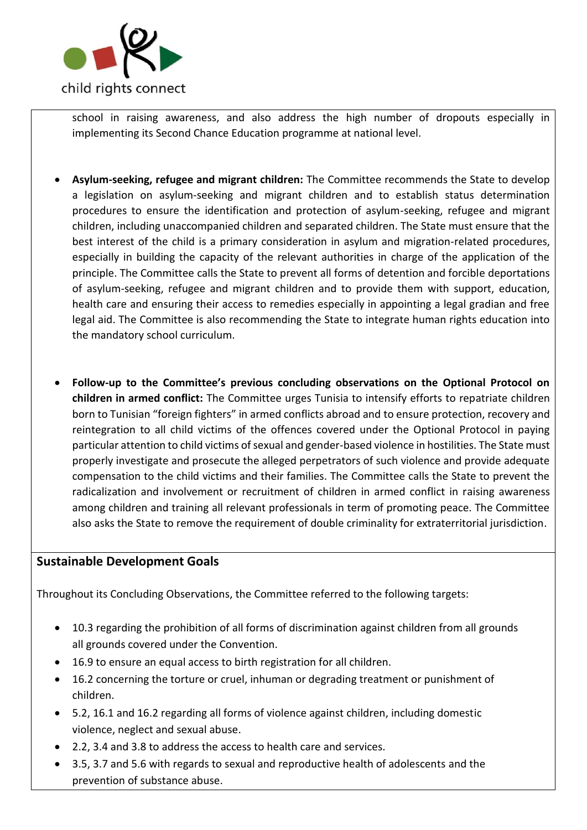

school in raising awareness, and also address the high number of dropouts especially in implementing its Second Chance Education programme at national level.

- **Asylum-seeking, refugee and migrant children:** The Committee recommends the State to develop a legislation on asylum-seeking and migrant children and to establish status determination procedures to ensure the identification and protection of asylum-seeking, refugee and migrant children, including unaccompanied children and separated children. The State must ensure that the best interest of the child is a primary consideration in asylum and migration-related procedures, especially in building the capacity of the relevant authorities in charge of the application of the principle. The Committee calls the State to prevent all forms of detention and forcible deportations of asylum-seeking, refugee and migrant children and to provide them with support, education, health care and ensuring their access to remedies especially in appointing a legal gradian and free legal aid. The Committee is also recommending the State to integrate human rights education into the mandatory school curriculum.
- **Follow-up to the Committee's previous concluding observations on the Optional Protocol on children in armed conflict:** The Committee urges Tunisia to intensify efforts to repatriate children born to Tunisian "foreign fighters" in armed conflicts abroad and to ensure protection, recovery and reintegration to all child victims of the offences covered under the Optional Protocol in paying particular attention to child victims of sexual and gender-based violence in hostilities. The State must properly investigate and prosecute the alleged perpetrators of such violence and provide adequate compensation to the child victims and their families. The Committee calls the State to prevent the radicalization and involvement or recruitment of children in armed conflict in raising awareness among children and training all relevant professionals in term of promoting peace. The Committee also asks the State to remove the requirement of double criminality for extraterritorial jurisdiction.

# **Sustainable Development Goals**

Throughout its Concluding Observations, the Committee referred to the following targets:

- 10.3 regarding the prohibition of all forms of discrimination against children from all grounds all grounds covered under the Convention.
- 16.9 to ensure an equal access to birth registration for all children.
- 16.2 concerning the torture or cruel, inhuman or degrading treatment or punishment of children.
- 5.2, 16.1 and 16.2 regarding all forms of violence against children, including domestic violence, neglect and sexual abuse.
- 2.2, 3.4 and 3.8 to address the access to health care and services.
- 3.5, 3.7 and 5.6 with regards to sexual and reproductive health of adolescents and the prevention of substance abuse.